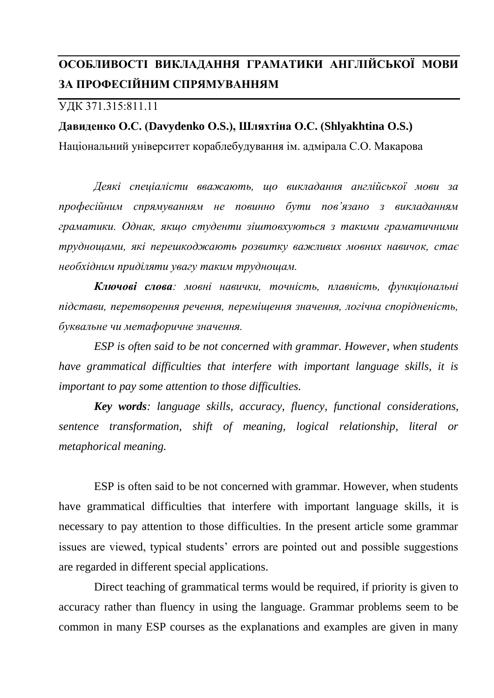## **ОСОБЛИВОСТІ ВИКЛАДАННЯ ГРАМАТИКИ АНГЛІЙСЬКОЇ МОВИ ЗА ПРОФЕСІЙНИМ СПРЯМУВАННЯМ**

## УДК 371.315:811.11

## **Давиденко О.С. (Davydenko О.S.), Шляхтіна О.С. (Shlyakhtina O.S.)**

Національний університет кораблебудування ім. адмірала С.О. Макарова

*Деякі спеціалісти вважають, що викладання англійської мови за професійним спрямуванням не повинно бути пов'язано з викладанням граматики. Однак, якщо студенти зіштовхуються з такими граматичними труднощами, які перешкоджають розвитку важливих мовних навичок, стає необхідним приділяти увагу таким труднощам.*

*Ключові слова: мовні навички, точність, плавність, функціональні підстави, перетворення речення, переміщення значення, логічна спорідненість, буквальне чи метафоричне значення.*

*ESP is often said to be not concerned with grammar. However, when students have grammatical difficulties that interfere with important language skills, it is important to pay some attention to those difficulties.*

*Key words: language skills, accuracy, fluency, functional considerations, sentence transformation, shift of meaning, logical relationship, literal or metaphorical meaning.* 

ESP is often said to be not concerned with grammar. However, when students have grammatical difficulties that interfere with important language skills, it is necessary to pay attention to those difficulties. In the present article some grammar issues are viewed, typical students' errors are pointed out and possible suggestions are regarded in different special applications.

Direct teaching of grammatical terms would be required, if priority is given to accuracy rather than fluency in using the language. Grammar problems seem to be common in many ESP courses as the explanations and examples are given in many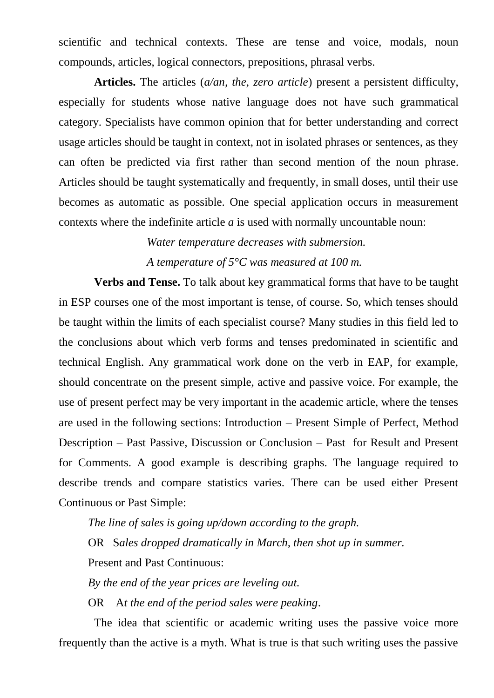scientific and technical contexts. These are tense and voice, modals, noun compounds, articles, logical connectors, prepositions, phrasal verbs.

**Articles.** The articles (*a/an, the, zero article*) present a persistent difficulty, especially for students whose native language does not have such grammatical category. Specialists have common opinion that for better understanding and correct usage articles should be taught in context, not in isolated phrases or sentences, as they can often be predicted via first rather than second mention of the noun phrase. Articles should be taught systematically and frequently, in small doses, until their use becomes as automatic as possible. One special application occurs in measurement contexts where the indefinite article *a* is used with normally uncountable noun:

> *Water temperature decreases with submersion. A temperature of 5°C was measured at 100 m.*

**Verbs and Tense.** To talk about key grammatical forms that have to be taught in ESP courses one of the most important is tense, of course. So, which tenses should be taught within the limits of each specialist course? Many studies in this field led to the conclusions about which verb forms and tenses predominated in scientific and technical English. Any grammatical work done on the verb in EAP, for example, should concentrate on the present simple, active and passive voice. For example, the use of present perfect may be very important in the academic article, where the tenses are used in the following sections: Introduction – Present Simple of Perfect, Method Description – Past Passive, Discussion or Conclusion – Past for Result and Present for Comments. A good example is describing graphs. The language required to describe trends and compare statistics varies. There can be used either Present Continuous or Past Simple:

*The line of sales is going up/down according to the graph.*

OR S*ales dropped dramatically in March, then shot up in summer.*

Present and Past Continuous:

*By the end of the year prices are leveling out.*

OR A*t the end of the period sales were peaking*.

The idea that scientific or academic writing uses the passive voice more frequently than the active is a myth. What is true is that such writing uses the passive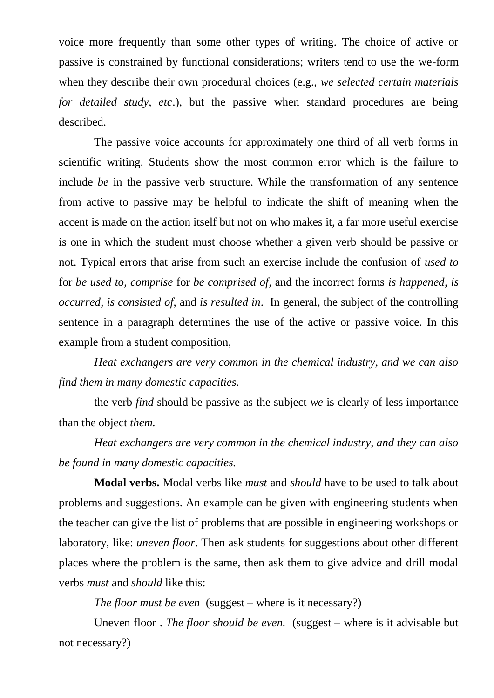voice more frequently than some other types of writing. The choice of active or passive is constrained by functional considerations; writers tend to use the we-form when they describe their own procedural choices (e.g., *we selected certain materials for detailed study, etc*.), but the passive when standard procedures are being described.

The passive voice accounts for approximately one third of all verb forms in scientific writing. Students show the most common error which is the failure to include *be* in the passive verb structure. While the transformation of any sentence from active to passive may be helpful to indicate the shift of meaning when the accent is made on the action itself but not on who makes it, a far more useful exercise is one in which the student must choose whether a given verb should be passive or not. Typical errors that arise from such an exercise include the confusion of *used to*  for *be used to*, *comprise* for *be comprised of*, and the incorrect forms *is happened*, *is occurred*, *is consisted of*, and *is resulted in*. In general, the subject of the controlling sentence in a paragraph determines the use of the active or passive voice. In this example from a student composition,

*Heat exchangers are very common in the chemical industry, and we can also find them in many domestic capacities.*

the verb *find* should be passive as the subject *we* is clearly of less importance than the object *them.*

*Heat exchangers are very common in the chemical industry, and they can also be found in many domestic capacities.*

**Modal verbs.** Modal verbs like *must* and *should* have to be used to talk about problems and suggestions. An example can be given with engineering students when the teacher can give the list of problems that are possible in engineering workshops or laboratory, like: *uneven floor*. Then ask students for suggestions about other different places where the problem is the same, then ask them to give advice and drill modal verbs *must* and *should* like this:

*The floor must be even* (suggest – where is it necessary?)

Uneven floor . *The floor should be even.* (suggest – where is it advisable but not necessary?)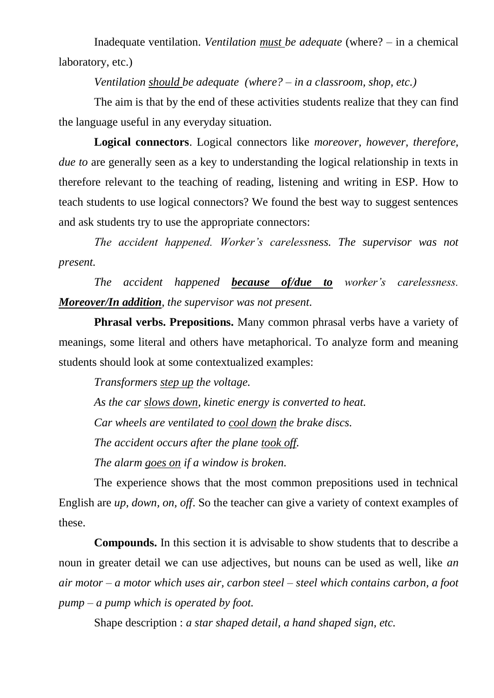Inadequate ventilation. *Ventilation must be adequate* (where? – in a chemical laboratory, etc.)

*Ventilation should be adequate (where? – in a classroom, shop, etc.)*

The aim is that by the end of these activities students realize that they can find the language useful in any everyday situation.

**Logical connectors**. Logical connectors like *moreover, however, therefore, due to* are generally seen as a key to understanding the logical relationship in texts in therefore relevant to the teaching of reading, listening and writing in ESP. How to teach students to use logical connectors? We found the best way to suggest sentences and ask students try to use the appropriate connectors:

*The accident happened. Worker's carelessness. The supervisor was not present.*

*The accident happened because of/due to worker's carelessness. Moreover/In addition, the supervisor was not present.*

**Phrasal verbs. Prepositions.** Many common phrasal verbs have a variety of meanings, some literal and others have metaphorical. To analyze form and meaning students should look at some contextualized examples:

*Transformers step up the voltage.*

*As the car slows down, kinetic energy is converted to heat. Car wheels are ventilated to cool down the brake discs. The accident occurs after the plane took off. The alarm goes on if a window is broken.*

The experience shows that the most common prepositions used in technical English are *up, down, on, off*. So the teacher can give a variety of context examples of these.

**Compounds.** In this section it is advisable to show students that to describe a noun in greater detail we can use adjectives, but nouns can be used as well, like *an air motor – a motor which uses air, carbon steel – steel which contains carbon, a foot pump – a pump which is operated by foot.*

Shape description : *a star shaped detail, a hand shaped sign, etc.*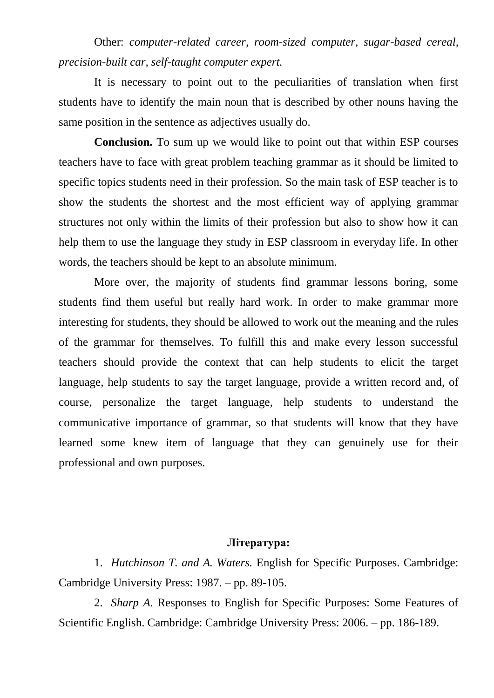Other: *computer-related career, room-sized computer, sugar-based cereal, precision-built car, self-taught computer expert.*

It is necessary to point out to the peculiarities of translation when first students have to identify the main noun that is described by other nouns having the same position in the sentence as adjectives usually do.

**Conclusion.** To sum up we would like to point out that within ESP courses teachers have to face with great problem teaching grammar as it should be limited to specific topics students need in their profession. So the main task of ESP teacher is to show the students the shortest and the most efficient way of applying grammar structures not only within the limits of their profession but also to show how it can help them to use the language they study in ESP classroom in everyday life. In other words, the teachers should be kept to an absolute minimum.

More over, the majority of students find grammar lessons boring, some students find them useful but really hard work. In order to make grammar more interesting for students, they should be allowed to work out the meaning and the rules of the grammar for themselves. To fulfill this and make every lesson successful teachers should provide the context that can help students to elicit the target language, help students to say the target language, provide a written record and, of course, personalize the target language, help students to understand the communicative importance of grammar, so that students will know that they have learned some knew item of language that they can genuinely use for their professional and own purposes.

## **Література:**

1. *Hutchinson T. and A. Waters.* English for Specific Purposes. Cambridge: Cambridge University Press: 1987. – pp. 89-105.

2. *Sharp A.* Responses to English for Specific Purposes: Some Features of Scientific English. Cambridge: Cambridge University Press: 2006. – pp. 186-189.